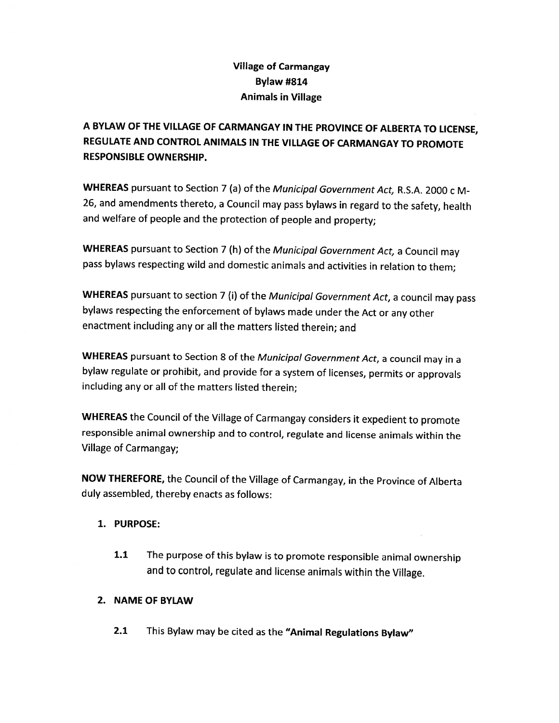# Village of Carmangay Bylaw #814 Animals in Village

<sup>A</sup> BYLAW OF THE VILLAGE OF CARMANGAY IN THE PROVINCE OF ALBERTA TO LICENSE, REGULATE AND CONTROL ANIMALS IN THE VILLAGE OF CARMANGAY TO PROMOTE RESPONSIBLE OWNERSHIP.

WHEREAS pursuant to Section 7 (a) of the Municipal Government Act, R.S.A. 2000 c M-26, and amendments thereto, <sup>a</sup> Council may pass bylaws in regard to the safety, health and welfare of people and the protection of people and property;

WHEREAS pursuant to Section 7 (h) of the Municipal Government Act, a Council may pass bylaws respecting wild and domestic animals and activities in relation to them;

WHEREAS pursuant to section 7 (i) of the Municipal Government Act, a council may pass bylaws respecting the enforcement of bylaws made under the Act or any other enactment including any or all the matters listed therein; and

WHEREAS pursuant to Section 8 of the Municipal Government Act, a council may in a bylaw regulate or prohibit, and provide for <sup>a</sup> system of licenses, permits or approvals including any or all of the matters listed therein;

WHEREAS the Council of the Village of Carmangay considers it expedient to promote responsible animal ownership and to control, regulate and license animals within the Village of Carmangay;

NOW THEREFORE, the Council of the Village of Carmangay, in the Province of Alberta duly assembled, thereby enacts as follows:

## 1. PURPOSE:

1.1 The purpose of this bylaw is to promote responsible animal ownership and to control, regulate and license animals within the Village.

# 2. NAME OF BYLAW

2.1 This Bylaw may be cited as the "Animal Regulations Bylaw"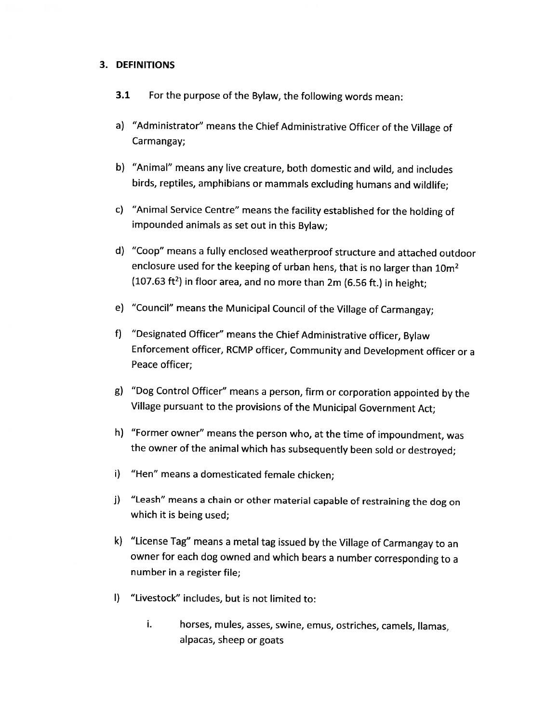### 3. DEFINITIONS

- 3.1 For the purpose of the Bylaw, the following words mean:
- a) "Administrator" means the Chief Administrative Officer of the Village of Carmangay;
- b) "Animal" means any live creature, both domestic and wild, and includes birds, reptiles, amphibians or mammals excluding humans and wildlife;
- c) "Animal Service Centre" means the facility established for the holding of impounded animals as set out in this Bylaw;
- d) "Coop" means <sup>a</sup> fully enclosed weatherproof structure and attached outdoor enclosure used for the keeping of urban hens, that is no larger than 10m<sup>2</sup> (107.63 ft<sup>2</sup>) in floor area, and no more than 2m (6.56 ft.) in height;
- e) "Council" means the Municipal Council of the Village of Carmangay;
- f) "Designated Officer" means the Chief Administrative officer, Bylaw Enforcement officer, RCMP officer, Community and Development officer or <sup>a</sup> Peace officer;
- g) "Dog Control Officer" means <sup>a</sup> person, firm or corporation appointed by the Village pursuant to the provisions of the Municipal Government Act;
- h) "Former owner" means the person who, at the time of impoundment, was the owner of the animal which has subsequently been sold or destroyed;
- i) "Hen" means <sup>a</sup> domesticated female chicken;
- j) "Leash" means <sup>a</sup> chain or other material capable of restraining the dog on which it is being used;
- k) "License Tag" means <sup>a</sup> metal tag issued by the Village of Carmangay to an owner for each dog owned and which bears <sup>a</sup> number corresponding to <sup>a</sup> number in <sup>a</sup> register file;
- I) "Livestock" includes, but is not limited to:
	- i. horses, mules, asses, swine, emus, ostriches, camels, llamas, alpacas, sheep or goats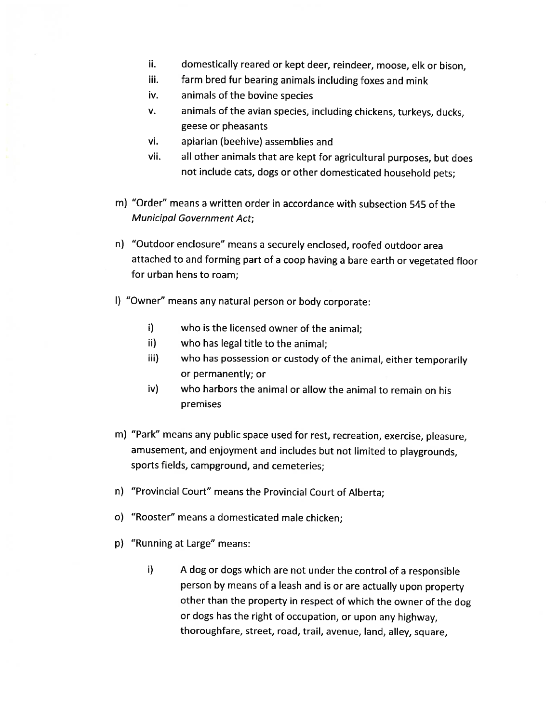- ii. domestically reared or kept deer, reindeer, moose, elk or bison,
- iii. farm bred fur bearing animals including foxes and mink
- iv. animals of the bovine species
- v. animals of the avian species, including chickens, turkeys, ducks, geese or pheasants
- vi. apiarian (beehive) assemblies and
- vii. all other animals that are kept for agricultural purposes, but does not include cats, dogs or other domesticated household pets;
- m) "Order" means <sup>a</sup> written order in accordance with subsection 545 of the Municipal Government Act;
- n) "Outdoor enclosure" means <sup>a</sup> securely enclosed, roofed outdoor area attached to and forming part of <sup>a</sup> coop having <sup>a</sup> bare earth or vegetated floor for urban hens to roam;
- I) "Owner" means any natural person or body corporate:
	- i) who is the licensed owner of the animal;
	- ii) who has legal title to the animal;
	- iii) who has possession or custody of the animal, either temporarily or permanently; or
	- iv) who harbors the animal or allow the animal to remain on his premises
- m) "Park" means any public space used for rest, recreation, exercise, <sup>p</sup>leasure, amusement, and enjoyment and includes but not limited to <sup>p</sup>laygrounds, sports fields, campground, and cemeteries;
- n) "Provincial Court" means the Provincial Court of Alberta;
- o) "Rooster" means <sup>a</sup> domesticated male chicken;
- p) "Running at Large" means:
	- i) <sup>A</sup> dog or dogs which are not under the control of <sup>a</sup> responsible person by means of <sup>a</sup> leash and is or are actually upon property other than the property in respect of which the owner of the dog or dogs has the right of occupation, or upon any highway, thoroughfare, street, road, trail, avenue, land, alley, square,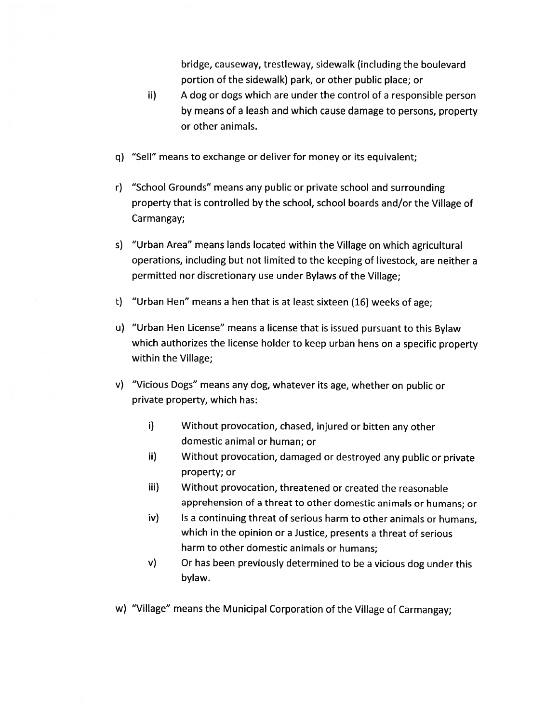bridge, causeway, trestleway, sidewalk (including the boulevard portion of the sidewalk) park, or other public place; or

- ii) <sup>A</sup> dog or dogs which are under the control of a responsible person by means of a leash and which cause damage to persons, property or other animals.
- q) "Sell" means to exchange or deliver for money or its equivalent;
- r) "School Grounds" means any public or private school and surrounding property that is controlled by the school, school boards and/or the Village of Carmangay;
- s) "Urban Area" means lands located within the Village on which agricultural operations, including but not limited to the keeping of livestock, are neither <sup>a</sup> permitted nor discretionary use under Bylaws of the Village;
- t) "Urban Hen" means <sup>a</sup> hen that is at least sixteen (16) weeks of age;
- u) "Urban Hen License" means <sup>a</sup> license that is issued pursuant to this Bylaw which authorizes the license holder to keep urban hens on <sup>a</sup> specific property within the Village;
- v) "Vicious Dogs" means any dog, whatever its age, whether on public or private property, which has:
	- i) Without provocation, chased, injured or bitten any other domestic animal or human; or
	- ii) Without provocation, damaged or destroyed any public or private property; or
	- iii) Without provocation, threatened or created the reasonable apprehension of <sup>a</sup> threat to other domestic animals or humans; or
	- iv) Is a continuing threat of serious harm to other animals or humans, which in the opinion or <sup>a</sup> Justice, presents a threat of serious harm to other domestic animals or humans;
	- v) Or has been previously determined to be <sup>a</sup> vicious dog under this bylaw.
- w) "Village" means the Municipal Corporation of the Village of Carmangay;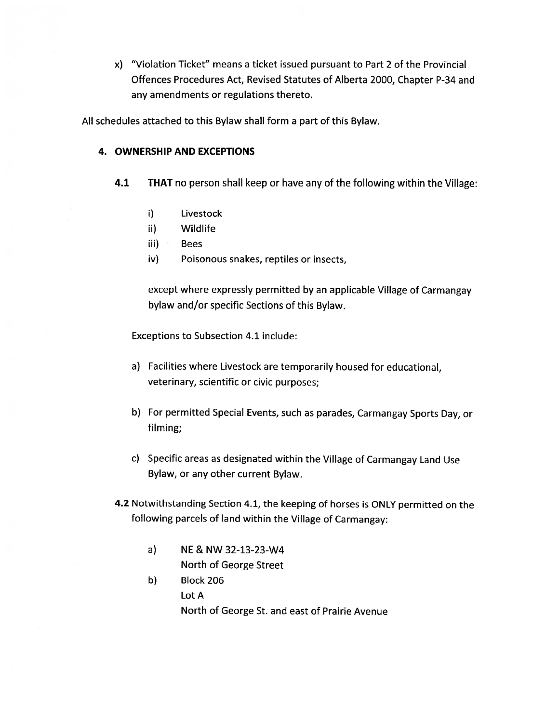x) "Violation Ticket" means <sup>a</sup> ticket issued pursuant to Part 2 of the Provincial Offences Procedures Act, Revised Statutes of Alberta 2000, Chapter P-34 and any amendments or regulations thereto.

All schedules attached to this Bylaw shall form <sup>a</sup> part of this Bylaw.

## 4. OWNERSHIP AND EXCEPTIONS

- 4.1 THAT no person shall keep or have any of the following within the Village:
	- i) Livestock
	- ii) Wildlife
	- $iii)$  Bees
	- iv) Poisonous snakes, reptiles or insects,

except where expressly permitted by an applicable Village of Carmangay bylaw and/or specific Sections of this Bylaw.

Exceptions to Subsection 4.1 include:

- a) Facilities where Livestock are temporarily housed for educational, veterinary, scientific or civic purposes;
- b) For permitted Special Events, such as parades, Carmangay Sports Day, or filming;
- c) Specific areas as designated within the Village of Carmangay Land Use Bylaw, or any other current Bylaw.
- 4.2 Notwithstanding Section 4.1, the keeping of horses is ONLY permitted on the following parcels of land within the Village of Carmangay:
	- a) NE & NW 32-13-23-W4 North of George Street
	- b) Block 206 Lot A North of George St. and east of Prairie Avenue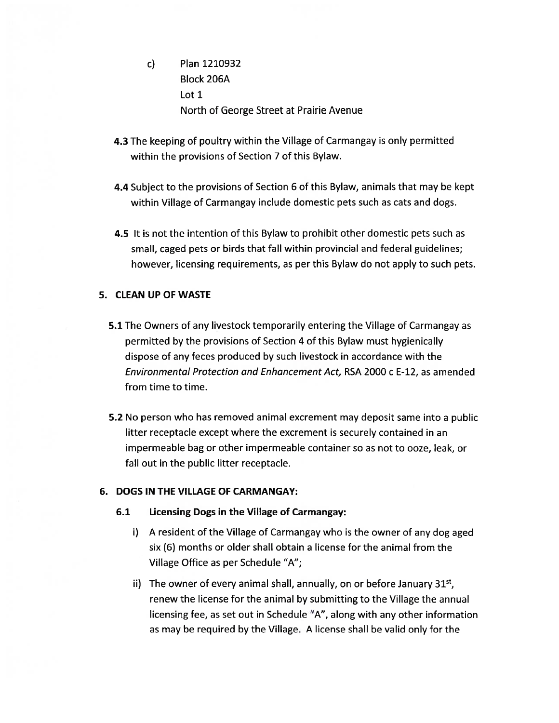- c) Plan 1210932 Block 206A Lot 1 North of George Street at Prairie Avenue
- 4.3 The keeping of poultry within the Village of Carmangay is only permitted within the provisions of Section 7 of this Bylaw.
- 4.4 Subject to the provisions of Section 6 of this Bylaw, animals that may be kept within Village of Carmangay include domestic pets such as cats and dogs.
- 4.5 It is not the intention of this Bylaw to prohibit other domestic pets such as small, caged pets or birds that fall within provincial and federal guidelines; however, licensing requirements, as per this Bylaw do not apply to such pets.

## 5. CLEAN UP OF WASTE

- 5.1 The Owners of any livestock temporarily entering the Village of Carmangay as permitted by the provisions of Section 4 of this Bylaw must hygienically dispose of any feces produced by such livestock in accordance with the Environmental Protection and Enhancement Act, RSA 2000 c E-12, as amended from time to time.
- 5.2 No person who has removed animal excrement may deposit same into a public litter receptacle except where the excrement is securely contained in an impermeable bag or other impermeable container so as not to ooze, leak, or fall out in the public litter receptacle.

### 6. DOGS IN THE VILLAGE OF CARMANGAY:

- 6.1 Licensing Dogs in the Village of Carmangay:
	- i) <sup>A</sup> resident of the Village of Carmangay who is the owner of any dog aged six (6) months or older shall obtain a license for the animal from the Village Office as per Schedule "A";
	- ii) The owner of every animal shall, annually, on or before January  $31<sup>st</sup>$ , renew the license for the animal by submitting to the Village the annual licensing fee, as set out in Schedule "A", along with any other information as may be required by the Village. A license shall be valid only for the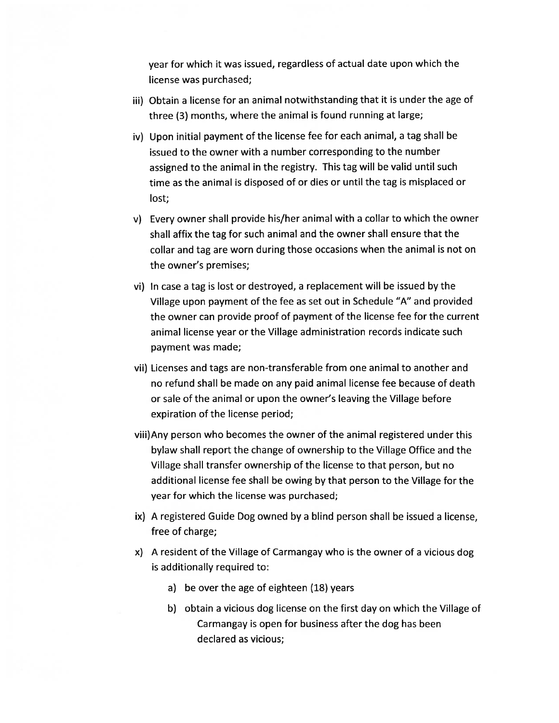year for which it was issued, regardless of actual date upon which the license was purchased;

- iii) Obtain a license for an animal notwithstanding that it is under the age of three (3) months, where the animal is found running at large;
- iv) Upon initial payment of the license fee for each animal, a tag shall be issued to the owner with <sup>a</sup> number corresponding to the number assigned to the animal in the registry. This tag will be valid until such time as the animal is disposed of or dies or until the tag is misplaced or lost;
- v) Every owner shall provide his/her animal with <sup>a</sup> collar to which the owner shall affix the tag for such animal and the owner shall ensure that the collar and tag are worn during those occasions when the animal is not on the owner's premises;
- vi) In case a tag is lost or destroyed, <sup>a</sup> replacement will be issued by the Village upon payment of the fee as set out in Schedule "A" and provided the owner can provide proof of payment of the license fee for the current animal license year or the Village administration records indicate such payment was made;
- vii) Licenses and tags are non-transferable from one animal to another and no refund shall be made on any paid animal license fee because of death or sale of the animal or upon the owner's leaving the Village before expiration of the license period;
- viii)Any person who becomes the owner of the animal registered under this bylaw shall report the change of ownership to the Village Office and the Village shall transfer ownership of the license to that person, but no additional license fee shall be owing by that person to the Village for the year for which the license was purchased;
- ix) A registered Guide Dog owned by a blind person shall be issued a license, free of charge;
- x) <sup>A</sup> resident of the Village of Carmangay who is the owner of a vicious dog is additionally required to:
	- a) be over the age of eighteen (18) years
	- b) obtain a vicious dog license on the first day on which the Village of Carmangay is open for business after the dog has been declared as vicious;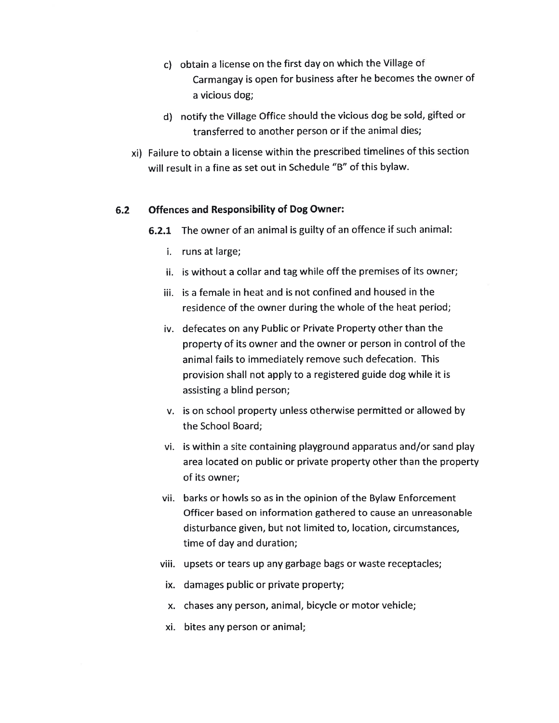- c) obtain <sup>a</sup> license on the first day on which the Village of Carmangay is open for business after he becomes the owner of a vicious dog;
- U) notify the Village Office should the vicious dog be sold, gifted or transferred to another person or if the animal dies;
- xi) Failure to obtain <sup>a</sup> license within the prescribed timelines of this section will result in a fine as set out in Schedule "B" of this bylaw.

### 6.2 Offences and Responsibility of Dog Owner:

- 6.2.1 The owner of an animal is guilty of an offence if such animal:
	- i. runs at large;
	- ii. is without a collar and tag while off the premises of its owner;
	- iii. is <sup>a</sup> female in heat and is not confined and housed in the residence of the owner during the whole of the heat period;
	- iv. defecates on any Public or Private Property other than the property of its owner and the owner or person in control of the animal fails to immediately remove such defecation. This provision shall not apply to a registered guide dog while it is assisting a blind person;
	- v. is on school property unless otherwise permitted or allowed by the School Board;
	- vi. is within a site containing playground apparatus and/or sand play area located on public or private property other than the property of its owner;
	- vii. barks or howls so as in the opinion of the Bylaw Enforcement Officer based on information gathered to cause an unreasonable disturbance given, but not limited to, location, circumstances, time of day and duration;
	- viii. upsets or tears up any garbage bags or waste receptacles;
	- ix. damages public or private property;
	- x. chases any person, animal, bicycle or motor vehicle;
	- xi. bites any person or animal;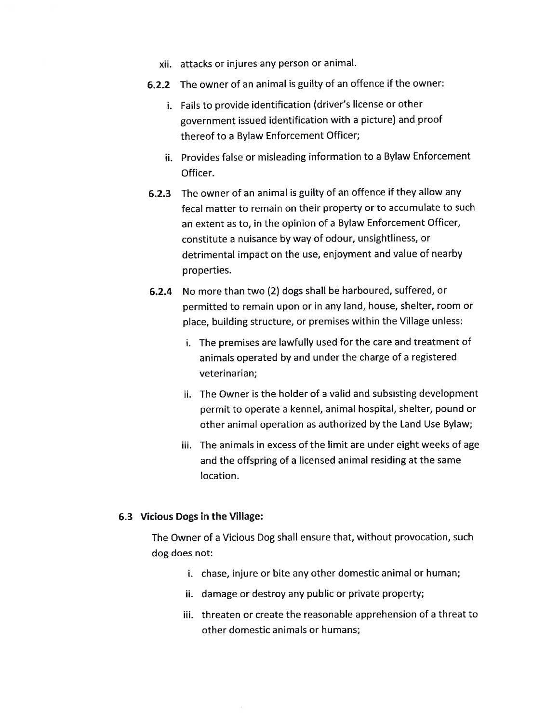- xii. attacks or injures any person or animal.
- 6.2.2 The owner of an animal is guilty of an offence if the owner:
	- i. Fails to provide identification (driver's license or other governmen<sup>t</sup> issued identification with <sup>a</sup> <sup>p</sup>icture) and proo<sup>f</sup> thereof to <sup>a</sup> Bylaw Enforcement Officer;
	- ii. Provides false or misleading information to <sup>a</sup> Bylaw Enforcement Officer.
- 6.2.3 The owner of an animal is guilty of an offence if they allow any fecal matter to remain on their property or to accumulate to such an extent as to, in the opinion of <sup>a</sup> Bylaw Enforcement Officer, constitute <sup>a</sup> nuisance by way of odour, unsightliness, or detrimental impact on the use, enjoyment and value of nearby properties.
- 6.2.4 No more than two (2) dogs shall be harboured, suffered, or permitted to remain upon or in any land, house, shelter, room or <sup>p</sup>lace, building structure, or premises within the Village unless:
	- i. The premises are lawfully used for the care and treatment of animals operated by and under the charge of <sup>a</sup> registered veterinarian;
	- ii. The Owner is the holder of <sup>a</sup> valid and subsisting development permit to operate <sup>a</sup> kennel, animal hospital, shelter, pound or other animal operation as authorized by the Land Use Bylaw;
	- iii. The animals in excess of the limit are under eight weeks of age and the offspring of <sup>a</sup> licensed animal residing at the same location.

### 6.3 Vicious Dogs in the Village:

The Owner of <sup>a</sup> Vicious Dog shall ensure that, without provocation, such dog does not:

- i. chase, injure or bite any other domestic animal or human;
- ii. damage or destroy any public or private property;
- iii. threaten or create the reasonable apprehension of <sup>a</sup> threat to other domestic animals or humans;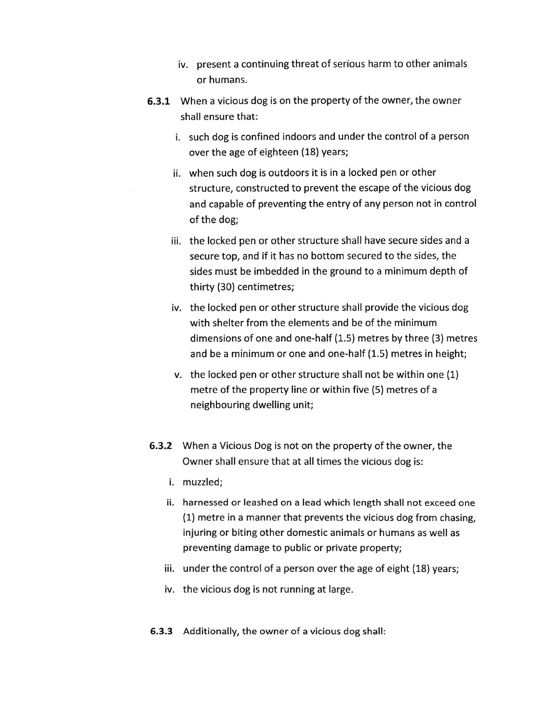- iv. present <sup>a</sup> continuing threat of serious harm to other animals or humans.
- 6.3.1 When a vicious dog is on the property of the owner, the owner shall ensure that:
	- i. such dog is confined indoors and under the control of a person over the age of eighteen (1\$) years;
	- ii. when such dog is outdoors it is in <sup>a</sup> locked pen or other structure, constructed to prevent the escape of the vicious dog and capable of preventing the entry of any person not in control of the dog;
	- iii. the locked pen or other structure shall have secure sides and a secure top, and if it has no bottom secured to the sides, the sides must be imbedded in the ground to a minimum depth of thirty (30) centimetres;
	- iv. the locked pen or other structure shall provide the vicious dog with shelter from the elements and be of the minimum dimensions of one and one-half (1.5) metres by three (3) metres and be a minimum or one and one-half (1.5) metres in height;
	- v. the locked pen or other structure shall not be within one (1) metre of the property line or within five (5) metres of a neighbouring dwelling unit;
- 6.3.2 When a Vicious Dog is not on the property of the owner, the Owner shall ensure that at all times the vicious dog is:
	- i. muzzled;
	- ii. harnessed or leashed on a lead which length shall not exceed one (1) metre in a manner that prevents the vicious dog from chasing, injuring or biting other domestic animals or humans as well as preventing damage to public or private property;
	- iii. under the control of a person over the age of eight (18) years;
	- iv. the vicious dog is not running at large.
- 6.3.3 Additionally, the owner of a vicious dog shall: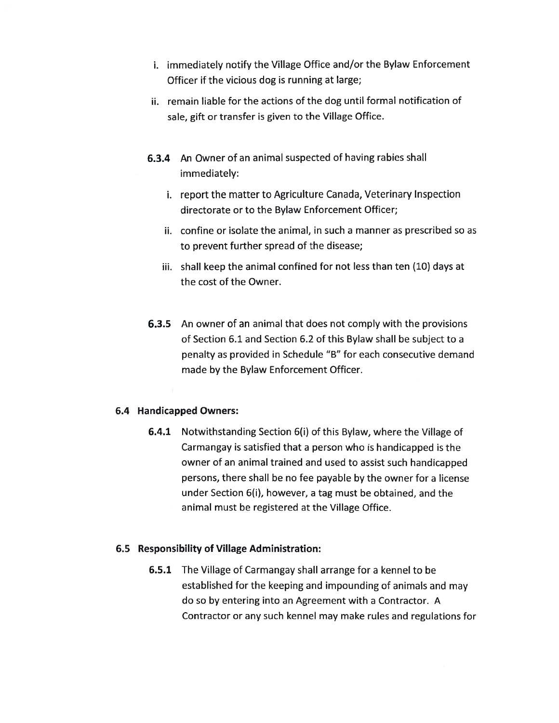- i. immediately notify the Village Office and/or the Bylaw Enforcement Officer if the vicious dog is running at large;
- ii. remain liable for the actions of the dog until formal notification of sale, gift or transfer is given to the Village Office.
- 6.3.4 An Owner of an animal suspected of having rabies shall immediately:
	- i. report the matter to Agriculture Canada, Veterinary Inspection directorate or to the Bylaw Enforcement Officer;
	- ii. confine or isolate the animal, in such a manner as prescribed so as to prevent further spread of the disease;
	- iii. shall keep the animal confined for not less than ten (10) days at the cost of the Owner.
- 6.3.5 An owner of an animal that does not comply with the provisions of Section 6.1 and Section 6.2 of this Bylaw shall be subject to a penalty as provided in Schedule "B" for each consecutive demand made by the Bylaw Enforcement Officer.

## 6.4 Handicapped Owners:

6.4.1 Notwithstanding Section 6(i) of this Bylaw, where the Village of Carmangay is satisfied that <sup>a</sup> person who is handicapped is the owner of an animal trained and used to assist such handicapped persons, there shall be no fee payable by the owner for <sup>a</sup> license under Section 6(i), however, a tag must be obtained, and the animal must be registered at the Village Office.

## 6.5 Responsibility of Village Administration:

6.5.1 The Village of Carmangay shall arrange for a kennel to be established for the keeping and impounding of animals and may do so by entering into an Agreement with a Contractor. <sup>A</sup> Contractor or any such kennel may make rules and regulations for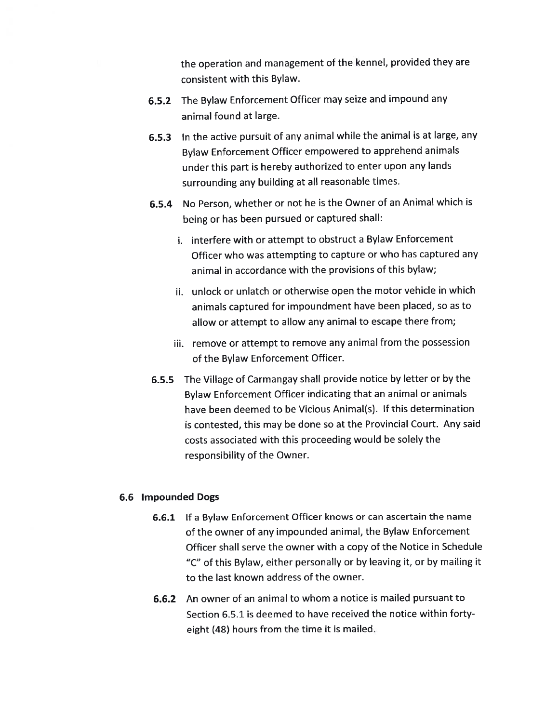the operation and managemen<sup>t</sup> of the kennel, provided they are consistent with this Bylaw.

- 6.5.2 The Bylaw Enforcement Officer may seize and impound any animal found at large.
- 6.5.3 In the active pursuit of any animal while the animal is at large, any Bylaw Enforcement Officer empowere<sup>d</sup> to apprehend animals under this par<sup>t</sup> is hereby authorized to enter upon any lands surrounding any building at all reasonable times.
- 6.5.4 No Person, whether or not he is the Owner of an Animal which is being or has been pursue<sup>d</sup> or captured shall:
	- i. interfere with or attempt to obstruct <sup>a</sup> Bylaw Enforcement Officer who was attempting to capture or who has captured any animal in accordance with the provisions of this bylaw;
	- ii. unlock or unlatch or otherwise open the motor vehicle in which animals captured for impoundment have been <sup>p</sup>laced, so as to allow or attempt to allow any animal to escape there from;
	- iii. remove or attempt to remove any animal from the possession of the Bylaw Enforcement Officer.
- 6.5.5 The Village of Carmangay shall provide notice by letter or by the Bylaw Enforcement Officer indicating that an animal or animals have been deemed to be Vicious Animal(s). If this determination is contested, this may be done so at the Provincial Court. Any said costs associated with this proceeding would be solely the responsibility of the Owner.

### 6.6 Impounded Dogs

- 6.6.1 If <sup>a</sup> Bylaw Enforcement Officer knows or can ascertain the name of the owner of any impounded animal, the Bylaw Enforcement Officer shall serve the owner with <sup>a</sup> copy of the Notice in Schedule "C" of this Bylaw, either personally or by leaving it, or by mailing it to the last known address of the owner.
- 6.6.2 An owner of an animal to whom <sup>a</sup> notice is mailed pursuan<sup>t</sup> to Section 6.5.1 is deemed to have received the notice within forty eight (42) hours from the time it is mailed.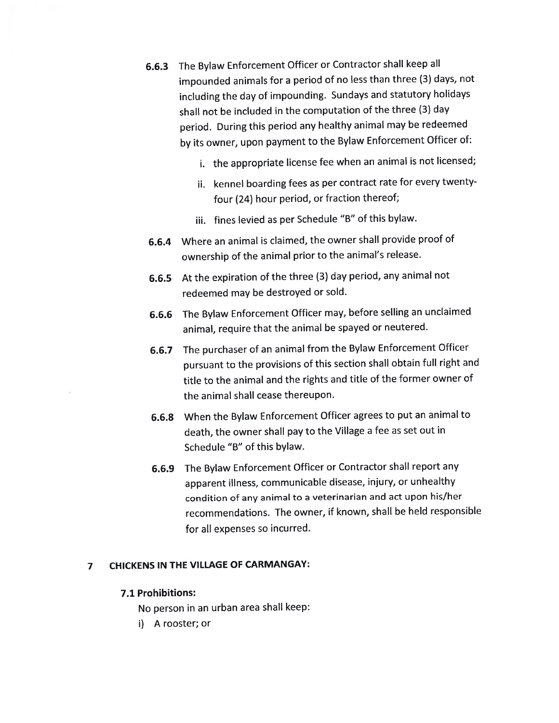- 6.6.3 The Bylaw Enforcement Officer or Contractor shall keep all impounded animals for <sup>a</sup> period of no less than three (3) days, not including the day of impounding. Sundays and statutory holidays shall not be included in the computation of the three (3) day period. During this period any healthy animal may be redeemed by its owner, upon paymen<sup>t</sup> to the Bylaw Enforcement Officer of:
	- i. the appropriate license fee when an animal is not licensed;
	- ii. kennel boarding fees as per contract rate for every twentyfour (24) hour period, or fraction thereof;
	- iii. fines levied as per Schedule "B" of this bylaw.
- 6.6.4 Where an animal is claimed, the owner shall provide proo<sup>f</sup> of ownership of the animal prior to the animal's release.
- 6.6.5 At the expiration of the three (3) day period, any animal not redeemed may be destroyed or sold.
- 6.6.6 The Bylaw Enforcement Officer may, before selling an unclaimed animal, require that the animal be spaye<sup>d</sup> or neutered.
- 6.6.7 The purchaser of an animal from the Bylaw Enforcement Officer pursuan<sup>t</sup> to the provisions of this section shall obtain full right and title to the animal and the rights and title of the former owner of the animal shall cease thereupon.
- 6.6.8 When the Bylaw Enforcement Officer agrees to pu<sup>t</sup> an animal to death, the owner shall pay to the Village <sup>a</sup> fee as set out in Schedule "B" of this bylaw.
- 6.6.9 The Bylaw Enforcement Officer or Contractor shall repor<sup>t</sup> any apparen<sup>t</sup> illness, communicable disease, injury, or unhealthy condition of any animal to <sup>a</sup> veterinarian and act upon his/her recommendations. The owner, if known, shall be held responsible for all expenses so incurred.

# <sup>7</sup> CHICKENS IN THE VILLAGE OF CARMANGAY:

#### 7.1 Prohibitions:

No person in an urban area shall keep:

i) A rooster; or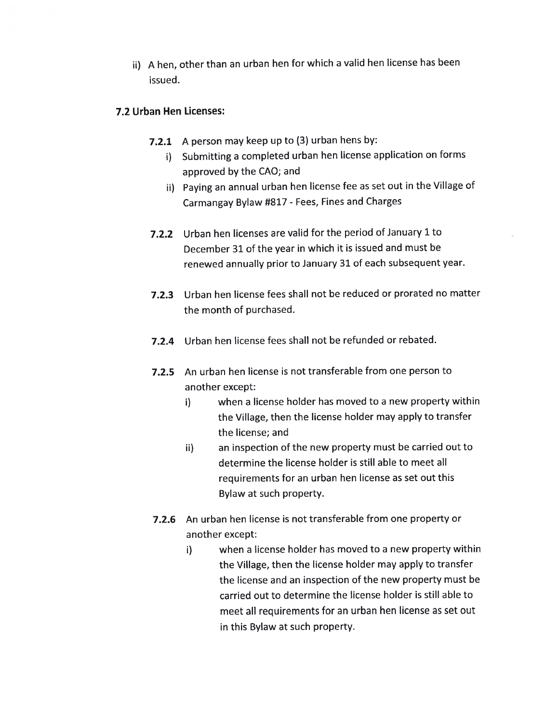ii) <sup>A</sup> hen, other than an urban hen for which <sup>a</sup> valid hen license has been issued.

## 7.2 Urban Hen Licenses:

- 7.2.1 <sup>A</sup> person may keep up to (3) urban hens by:
	- i) Submitting <sup>a</sup> completed urban hen license application on forms approve<sup>d</sup> by the CAD; and
	- ii) Paying an annual urban hen license fee as set out in the Village of Carmangay Bylaw #817 - Fees, Fines and Charges
- 7.2.2 Urban hen licenses are valid for the period of January 1 to December 31 of the year in which it is issued and must be renewed annually prior to January 31 of each subsequent year.
- 7.2.3 Urban hen license fees shall not be reduced or prorated no matter the month of purchased.
- 7.2.4 Urban hen license fees shall not be refunded or rebated.
- 7.2.5 An urban hen license is not transferable from one person to another except:
	- i) when <sup>a</sup> license holder has moved to <sup>a</sup> new property within the Village, then the license holder may apply to transfer the license; and
	- ii) an inspection of the new property must be carried out to determine the license holder is still able to meet all requirements for an urban hen license as set out this Bylaw at such property.
- 7.2.6 An urban hen license is not transferable from one property or another except:
	- i) when <sup>a</sup> license holder has moved to <sup>a</sup> new property within the Village, then the license holder may apply to transfer the license and an inspection of the new property must be carried out to determine the license holder is still able to meet all requirements for an urban hen license as set out in this Bylaw at such property.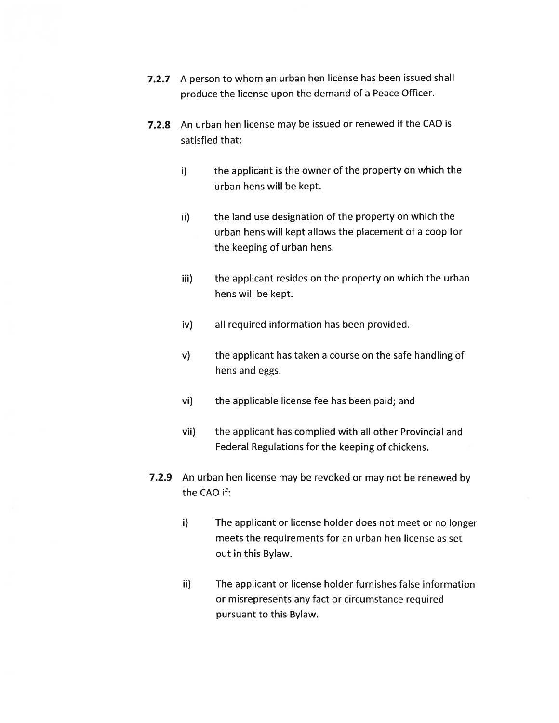- 7.2.7 <sup>A</sup> person to whom an urban hen license has been issued shall produce the license upon the demand of a Peace Officer.
- 7.2.8 An urban hen license may be issued or renewed if the CAO is satisfied that:
	- $I$  i) the applicant is the owner of the property on which the urban hens will be kept.
	- ii) the land use designation of the property on which the urban hens will kept allows the placement of a coop for the keeping of urban hens.
	- iii) the applicant resides on the property on which the urban hens will be kept.
	- iv) all required information has been provided.
	- v) the applicant has taken a course on the safe handling of hens and eggs.
	- vi) the applicable license fee has been paid; and
	- vii) the applicant has complied with all other Provincial and Federal Regulations for the keeping of chickens.
- 7.2.9 An urban hen license may be revoked or may not be renewed by the CAO if:
	- i) The applicant or license holder does not meet or no longer meets the requirements for an urban hen license as set out in this Bylaw.
	- ii) The applicant or license holder furnishes false information or misrepresents any fact or circumstance required pursuant to this Bylaw.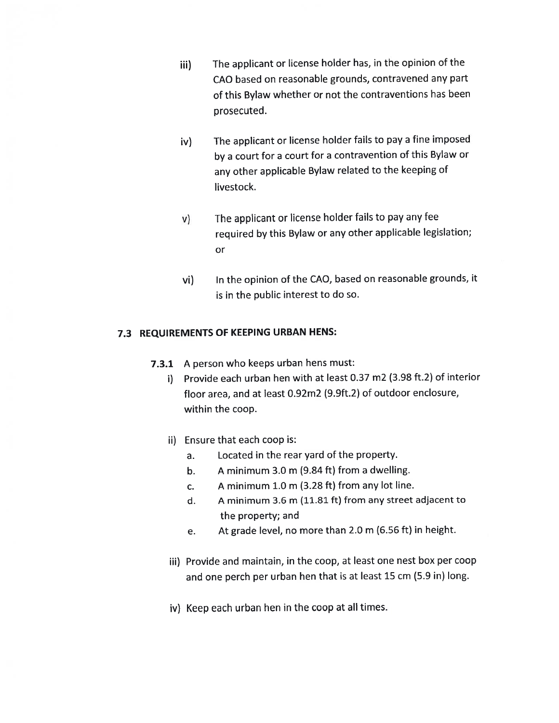- iii) The applicant or license holder has, in the opinion of the CAO based on reasonable grounds, contravened any par<sup>t</sup> of this Bylaw whether or not the contraventions has been prosecuted.
- iv) The applicant or license holder fails to pay <sup>a</sup> fine imposed by <sup>a</sup> court for <sup>a</sup> court for <sup>a</sup> contravention of this Bylaw or any other applicable Bylaw related to the keeping of livestock.
- v) The applicant or license holder fails to pay any fee required by this Bylaw or any other applicable legislation; or
- vi) In the opinion of the CAO, based on reasonable grounds, it is in the public interest to do so.

## 7.3 REQUIREMENTS OF KEEPING URBAN HENS:

- 7.3.1 <sup>A</sup> person who keeps urban hens must:
	- i) Provide each urban hen with at least 0.37 m2 (3.98 ft.2) of interior floor area, and at least 0.92m2 (9.9ft.2) of outdoor enclosure, within the coop.
	- ii) Ensure that each coop is:
		- a. Located in the rear yard of the property.
		- b. A minimum 3.0 m (9.84 ft) from a dwelling.
		- c. A minimum  $1.0$  m (3.28 ft) from any lot line.
		- d. A minimum 3.6 m (11.81 ft) from any street adjacent to the property; and
		- e. At grade level, no more than 2.0 <sup>m</sup> (6.56 ft) in height.
	- iii) Provide and maintain, in the coop, at least one nest box per coop and one perc<sup>h</sup> per urban hen that is at least <sup>15</sup> cm (5.9 in) long.
	- iv) Keep each urban hen in the coop at all times.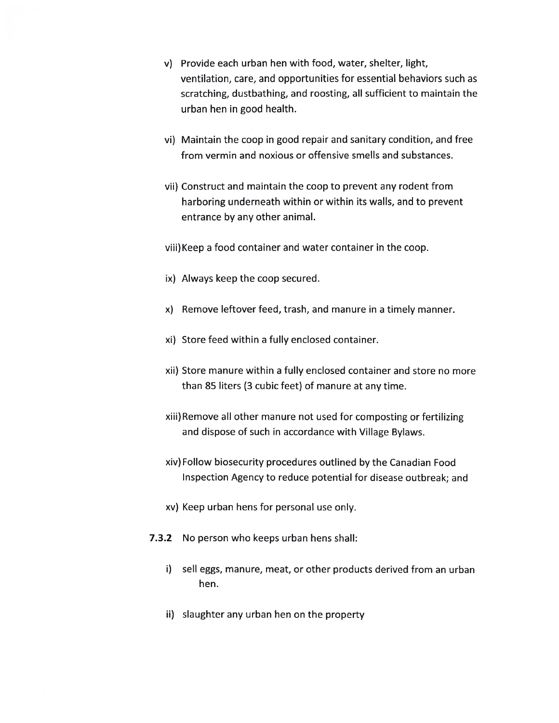- v) Provide each urban hen with food, water, shelter, light, ventilation, care, and opportunities for essential behaviors such as scratching, dustbathing, and roosting, all sufficient to maintain the urban hen in good health.
- vi) Maintain the coop in good repair and sanitary condition, and free from vermin and noxious or offensive smells and substances.
- vii) Construct and maintain the coop to prevent any rodent from harboring underneath within or within its walls, and to prevent entrance by any other animal.
- viii) Keep a food container and water container in the coop.
- ix) Always keep the coop secured.
- x) Remove leftover feed, trash, and manure in a timely manner.
- xi) Store feed within a fully enclosed container.
- xii) Store manure within a fully enclosed container and store no more than 85 liters (3 cubic feet) of manure at any time.
- xiii)Remove all other manure not used for composting or fertilizing and dispose of such in accordance with Village Bylaws.
- xiv) Follow biosecurity procedures outlined by the Canadian Food Inspection Agency to reduce potential for disease outbreak; and
- xv) Keep urban hens for personal use only.
- 7.3.2 No person who keeps urban hens shall:
	- i) sell eggs, manure, meat, or other products derived from an urban hen.
	- ii) slaughter any urban hen on the property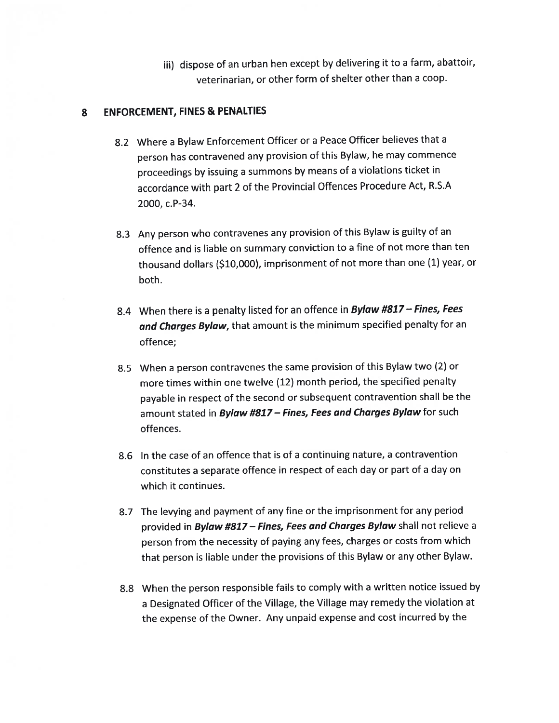iii) dispose of an urban hen excep<sup>t</sup> by delivering it to <sup>a</sup> farm, abattoir, veterinarian, or other form of shelter other than <sup>a</sup> coop.

# \$ ENFORCEMENT, FINES & PENALTIES

- 8.2 Where <sup>a</sup> Bylaw Enforcement Officer or <sup>a</sup> Peace Officer believes that <sup>a</sup> person has contravened any provision of this Bylaw, he may commence proceedings by issuing <sup>a</sup> summons by means of <sup>a</sup> violations ticket in accordance with par<sup>t</sup> <sup>2</sup> of the Provincial Offences Procedure Act, R.S.A 2000, c.P-34.
- 8.3 Any person who contravenes any provision of this Bylaw is guilty of an offence and is liable on summary conviction to <sup>a</sup> fine of not more than ten thousand dollars (\$10,000), imprisonment of not more than one (1) year, or both.
- 8.4 When there is a penalty listed for an offence in **Bylaw #817 Fines, Fees** and Charges Bylaw, that amount is the minimum specified penalty for an offence;
- 8.5 When <sup>a</sup> person contravenes the same provision of this Bylaw two (2) or more times within one twelve (12) month period, the specified penalty payable in respec<sup>t</sup> of the second or subsequent contravention shall be the amount stated in Bylaw #817 - Fines, Fees and Charges Bylaw for such offences.
- 8.6 In the case of an offence that is of <sup>a</sup> continuing nature, <sup>a</sup> contravention constitutes <sup>a</sup> separate offence in respec<sup>t</sup> of each day or par<sup>t</sup> of <sup>a</sup> day on which it continues.
- 8.7 The levying and paymen<sup>t</sup> of any fine or the imprisonment for any period provided in Bylaw #817 – Fines, Fees and Charges Bylaw shall not relieve a person from the necessity of paying any fees, charges or costs from which that person is liable under the provisions of this Bylaw or any other Bylaw.
- 8.8 When the person responsible fails to comply with <sup>a</sup> written notice issued by <sup>a</sup> Designated Officer of the Village, the Village may remedy the violation at the expense of the Owner. Any unpaid expense and cost incurred by the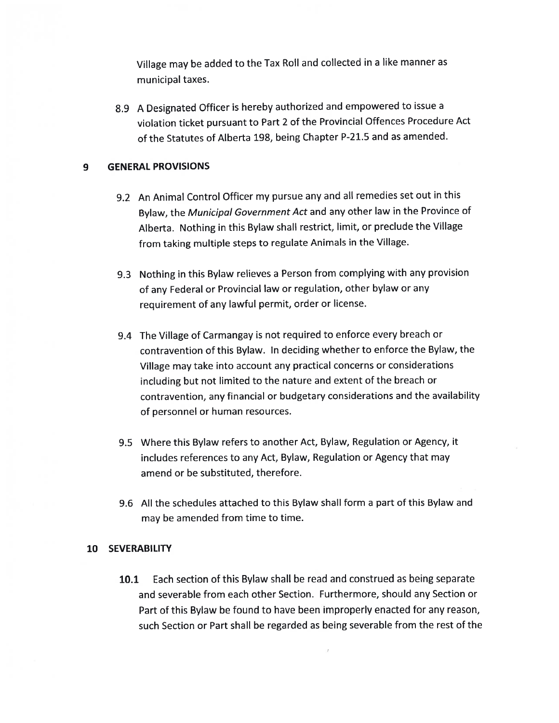Village may be added to the Tax Roll and collected in <sup>a</sup> like manner as municipal taxes.

8.9 <sup>A</sup> Designated Officer is hereby authorized and empowered to issue <sup>a</sup> violation ticket pursuant to Part <sup>2</sup> of the Provincial Offences Procedure Act of the Statutes of Alberta 198, being Chapter P-21.5 and as amended.

## 9 GENERAL PROVISIONS

- 9.2 An Animal Control Officer my pursue any and all remedies set out in this Bylaw, the Municipal Government Act and any other law in the Province of Alberta. Nothing in this Bylaw shall restrict, limit, or preclude the Village from taking multiple steps to regulate Animals in the Village.
- 9.3 Nothing in this Bylaw relieves <sup>a</sup> Person from complying with any provision of any Federal or Provincial law or regulation, other bylaw or any requirement of any lawful permit, order or license.
- 9.4 The Village of Carmangay is not required to enforce every breach or contravention of this Bylaw. In deciding whether to enforce the Bylaw, the Village may take into account any practical concerns or considerations including but not limited to the nature and extent of the breach or contravention, any financial or budgetary considerations and the availability of personnel or human resources.
- 9.5 Where this Bylaw refers to another Act, Bylaw, Regulation or Agency, it includes references to any Act, Bylaw, Regulation or Agency that may amend or be substituted, therefore.
- 9.6 All the schedules attached to this Bylaw shall form a part of this Bylaw and may be amended from time to time.

### 10 SEVERABILITY

10.1 Each section of this Bylaw shall be read and construed as being separate and severable from each other Section. Furthermore, should any Section or Part of this Bylaw be found to have been improperly enacted for any reason, such Section or Part shall be regarded as being severable from the rest of the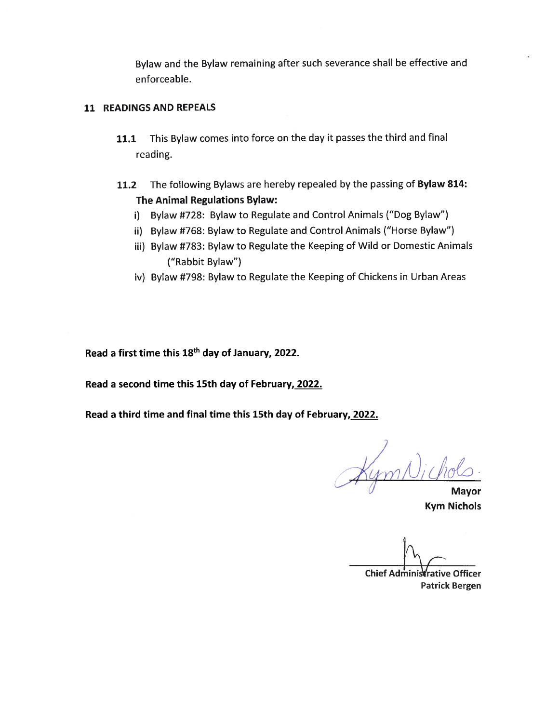Bylaw and the Bylaw remaining after such severance shall be effective and enforceable.

## 11 READINGS AND REPEALS

- 11.1 This Bylaw comes into force on the day it passes the third and final reading.
- 11.2 The following Bylaws are hereby repealed by the passing of Bylaw 814: The Animal Regulations Bylaw:
	- i) Bylaw #728: Bylaw to Regulate and Control Animals ("Dog Bylaw")
	- ii) Bylaw #768: Bylaw to Regulate and Control Animals ("Horse Bylaw")
	- iii) Bylaw #783: Bylaw to Regulate the Keeping of Wild or Domestic Animals ("Rabbit Bylaw")
	- iv) Bylaw #792: Bylaw to Regulate the Keeping of Chickens in Urban Areas

Read <sup>a</sup> first time this 18th day of January, 2022.

Read a second time this 15th day of February, 2022.

Read a third time and final time this 15th day of February, 2022.

Nichols

Mayor Kym Nichols

Chief Administrative Officer Patrick Bergen